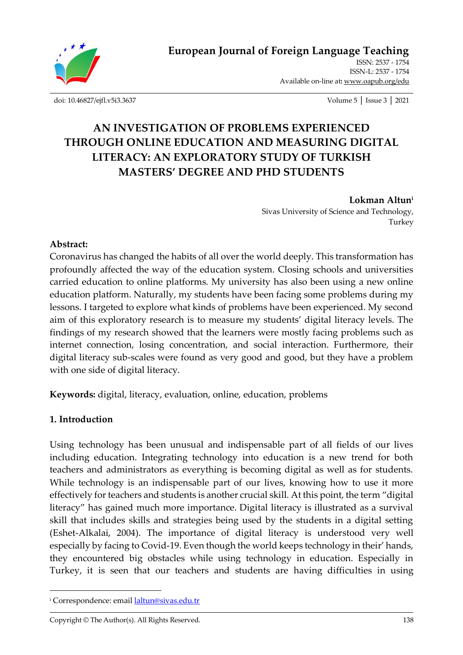

[ISSN: 2537 -](http://oapub.org/edu/index.php/ejes) 1754 [ISSN-L:](http://oapub.org/edu/index.php/ejes) 2537 - 1754 Available on-line at**:** [www.oapub.org/edu](http://www.oapub.org/edu)

[doi: 10.46827/ejfl.v5i3.3637](http://dx.doi.org/10.46827/ejfl.v5i3.3637) Volume 5 │ Issue 3 │ 2021

# **AN INVESTIGATION OF PROBLEMS EXPERIENCED THROUGH ONLINE EDUCATION AND MEASURING DIGITAL LITERACY: AN EXPLORATORY STUDY OF TURKISH MASTERS' DEGREE AND PHD STUDENTS**

**Lokman Altun<sup>i</sup>** Sivas University of Science and Technology, Turkey

### **Abstract:**

Coronavirus has changed the habits of all over the world deeply. This transformation has profoundly affected the way of the education system. Closing schools and universities carried education to online platforms. My university has also been using a new online education platform. Naturally, my students have been facing some problems during my lessons. I targeted to explore what kinds of problems have been experienced. My second aim of this exploratory research is to measure my students' digital literacy levels. The findings of my research showed that the learners were mostly facing problems such as internet connection, losing concentration, and social interaction. Furthermore, their digital literacy sub-scales were found as very good and good, but they have a problem with one side of digital literacy.

**Keywords:** digital, literacy, evaluation, online, education, problems

### **1. Introduction**

Using technology has been unusual and indispensable part of all fields of our lives including education. Integrating technology into education is a new trend for both teachers and administrators as everything is becoming digital as well as for students. While technology is an indispensable part of our lives, knowing how to use it more effectively for teachers and students is another crucial skill. At this point, the term "digital literacy" has gained much more importance. Digital literacy is illustrated as a survival skill that includes skills and strategies being used by the students in a digital setting (Eshet-Alkalai, 2004). The importance of digital literacy is understood very well especially by facing to Covid-19. Even though the world keeps technology in their' hands, they encountered big obstacles while using technology in education. Especially in Turkey, it is seen that our teachers and students are having difficulties in using

<sup>&</sup>lt;sup>i</sup> Correspondence: email **laltun@sivas.edu.tr**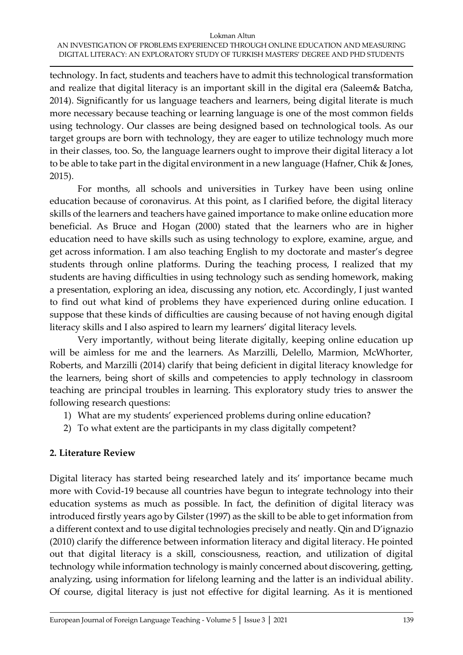#### Lokman Altun AN INVESTIGATION OF PROBLEMS EXPERIENCED THROUGH ONLINE EDUCATION AND MEASURING DIGITAL LITERACY: AN EXPLORATORY STUDY OF TURKISH MASTERS' DEGREE AND PHD STUDENTS

technology. In fact, students and teachers have to admit this technological transformation and realize that digital literacy is an important skill in the digital era (Saleem& Batcha, 2014). Significantly for us language teachers and learners, being digital literate is much more necessary because teaching or learning language is one of the most common fields using technology. Our classes are being designed based on technological tools. As our target groups are born with technology, they are eager to utilize technology much more in their classes, too. So, the language learners ought to improve their digital literacy a lot to be able to take part in the digital environment in a new language (Hafner, Chik & Jones, 2015).

For months, all schools and universities in Turkey have been using online education because of coronavirus. At this point, as I clarified before, the digital literacy skills of the learners and teachers have gained importance to make online education more beneficial. As Bruce and Hogan (2000) stated that the learners who are in higher education need to have skills such as using technology to explore, examine, argue, and get across information. I am also teaching English to my doctorate and master's degree students through online platforms. During the teaching process, I realized that my students are having difficulties in using technology such as sending homework, making a presentation, exploring an idea, discussing any notion, etc. Accordingly, I just wanted to find out what kind of problems they have experienced during online education. I suppose that these kinds of difficulties are causing because of not having enough digital literacy skills and I also aspired to learn my learners' digital literacy levels.

Very importantly, without being literate digitally, keeping online education up will be aimless for me and the learners. As Marzilli, Delello, Marmion, McWhorter, Roberts, and Marzilli (2014) clarify that being deficient in digital literacy knowledge for the learners, being short of skills and competencies to apply technology in classroom teaching are principal troubles in learning. This exploratory study tries to answer the following research questions:

- 1) What are my students' experienced problems during online education?
- 2) To what extent are the participants in my class digitally competent?

# **2. Literature Review**

Digital literacy has started being researched lately and its' importance became much more with Covid-19 because all countries have begun to integrate technology into their education systems as much as possible. In fact, the definition of digital literacy was introduced firstly years ago by Gilster (1997) as the skill to be able to get information from a different context and to use digital technologies precisely and neatly. Qin and D'ignazio (2010) clarify the difference between information literacy and digital literacy. He pointed out that digital literacy is a skill, consciousness, reaction, and utilization of digital technology while information technology is mainly concerned about discovering, getting, analyzing, using information for lifelong learning and the latter is an individual ability. Of course, digital literacy is just not effective for digital learning. As it is mentioned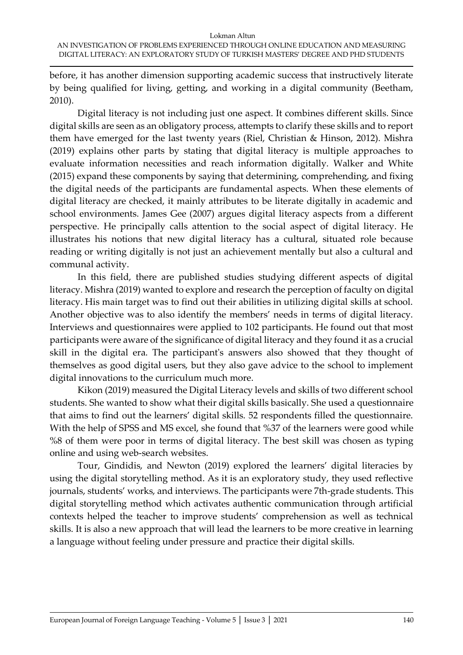before, it has another dimension supporting academic success that instructively literate by being qualified for living, getting, and working in a digital community (Beetham, 2010).

Digital literacy is not including just one aspect. It combines different skills. Since digital skills are seen as an obligatory process, attempts to clarify these skills and to report them have emerged for the last twenty years (Riel, Christian & Hinson, 2012). Mishra (2019) explains other parts by stating that digital literacy is multiple approaches to evaluate information necessities and reach information digitally. Walker and White (2015) expand these components by saying that determining, comprehending, and fixing the digital needs of the participants are fundamental aspects. When these elements of digital literacy are checked, it mainly attributes to be literate digitally in academic and school environments. James Gee (2007) argues digital literacy aspects from a different perspective. He principally calls attention to the social aspect of digital literacy. He illustrates his notions that new digital literacy has a cultural, situated role because reading or writing digitally is not just an achievement mentally but also a cultural and communal activity.

In this field, there are published studies studying different aspects of digital literacy. Mishra (2019) wanted to explore and research the perception of faculty on digital literacy. His main target was to find out their abilities in utilizing digital skills at school. Another objective was to also identify the members' needs in terms of digital literacy. Interviews and questionnaires were applied to 102 participants. He found out that most participants were aware of the significance of digital literacy and they found it as a crucial skill in the digital era. The participant's answers also showed that they thought of themselves as good digital users, but they also gave advice to the school to implement digital innovations to the curriculum much more.

Kikon (2019) measured the Digital Literacy levels and skills of two different school students. She wanted to show what their digital skills basically. She used a questionnaire that aims to find out the learners' digital skills. 52 respondents filled the questionnaire. With the help of SPSS and MS excel, she found that %37 of the learners were good while %8 of them were poor in terms of digital literacy. The best skill was chosen as typing online and using web-search websites.

Tour, Gindidis, and Newton (2019) explored the learners' digital literacies by using the digital storytelling method. As it is an exploratory study, they used reflective journals, students' works, and interviews. The participants were 7th-grade students. This digital storytelling method which activates authentic communication through artificial contexts helped the teacher to improve students' comprehension as well as technical skills. It is also a new approach that will lead the learners to be more creative in learning a language without feeling under pressure and practice their digital skills.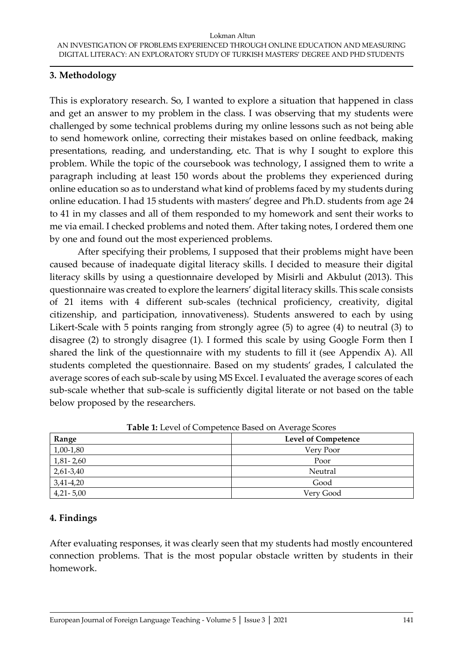### **3. Methodology**

This is exploratory research. So, I wanted to explore a situation that happened in class and get an answer to my problem in the class. I was observing that my students were challenged by some technical problems during my online lessons such as not being able to send homework online, correcting their mistakes based on online feedback, making presentations, reading, and understanding, etc. That is why I sought to explore this problem. While the topic of the coursebook was technology, I assigned them to write a paragraph including at least 150 words about the problems they experienced during online education so as to understand what kind of problems faced by my students during online education. I had 15 students with masters' degree and Ph.D. students from age 24 to 41 in my classes and all of them responded to my homework and sent their works to me via email. I checked problems and noted them. After taking notes, I ordered them one by one and found out the most experienced problems.

After specifying their problems, I supposed that their problems might have been caused because of inadequate digital literacy skills. I decided to measure their digital literacy skills by using a questionnaire developed by Misirli and Akbulut (2013). This questionnaire was created to explore the learners' digital literacy skills. This scale consists of 21 items with 4 different sub-scales (technical proficiency, creativity, digital citizenship, and participation, innovativeness). Students answered to each by using Likert-Scale with 5 points ranging from strongly agree (5) to agree (4) to neutral (3) to disagree (2) to strongly disagree (1). I formed this scale by using Google Form then I shared the link of the questionnaire with my students to fill it (see Appendix A). All students completed the questionnaire. Based on my students' grades, I calculated the average scores of each sub-scale by using MS Excel. I evaluated the average scores of each sub-scale whether that sub-scale is sufficiently digital literate or not based on the table below proposed by the researchers.

| <b>Table 1.</b> Let et of competence based on fittingle secres |                            |
|----------------------------------------------------------------|----------------------------|
| Range                                                          | <b>Level of Competence</b> |
| 1,00-1,80                                                      | Very Poor                  |
| $1,81 - 2,60$                                                  | Poor                       |
| $2,61-3,40$                                                    | Neutral                    |
| $3,41-4,20$                                                    | Good                       |
| $4,21 - 5,00$                                                  | Very Good                  |

**Table 1:** Level of Competence Based on Average Scores

# **4. Findings**

After evaluating responses, it was clearly seen that my students had mostly encountered connection problems. That is the most popular obstacle written by students in their homework.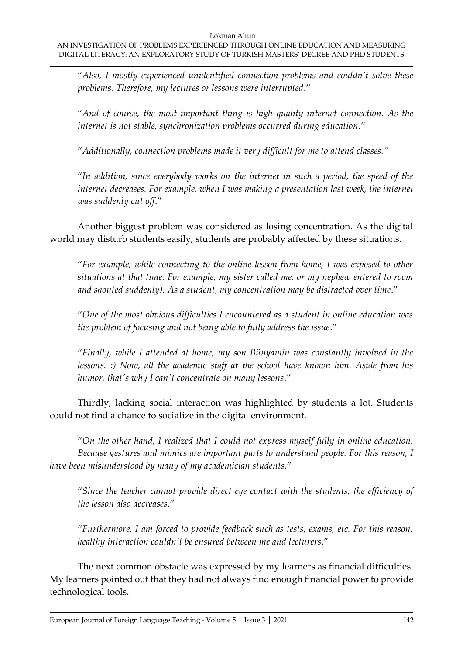"*Also, I mostly experienced unidentified connection problems and couldn't solve these problems. Therefore, my lectures or lessons were interrupted*."

"*And of course, the most important thing is high quality internet connection. As the internet is not stable, synchronization problems occurred during education*."

"*Additionally, connection problems made it very difficult for me to attend classes."*

"*In addition, since everybody works on the internet in such a period, the speed of the internet decreases. For example, when I was making a presentation last week, the internet was suddenly cut off*."

Another biggest problem was considered as losing concentration. As the digital world may disturb students easily, students are probably affected by these situations.

"*For example, while connecting to the online lesson from home, I was exposed to other situations at that time. For example, my sister called me, or my nephew entered to room and shouted suddenly). As a student, my concentration may be distracted over time*."

"*One of the most obvious difficulties I encountered as a student in online education was the problem of focusing and not being able to fully address the issue*."

"*Finally, while I attended at home, my son Bünyamin was constantly involved in the lessons.* :) Now, all the academic staff at the school have known him. Aside from his *humor, that's why I can't concentrate on many lessons*."

Thirdly, lacking social interaction was highlighted by students a lot. Students could not find a chance to socialize in the digital environment.

"*On the other hand, I realized that I could not express myself fully in online education. Because gestures and mimics are important parts to understand people. For this reason, I have been misunderstood by many of my academician students*."

"*Since the teacher cannot provide direct eye contact with the students, the efficiency of the lesson also decreases*."

"*Furthermore, I am forced to provide feedback such as tests, exams, etc. For this reason, healthy interaction couldn't be ensured between me and lecturers*."

The next common obstacle was expressed by my learners as financial difficulties. My learners pointed out that they had not always find enough financial power to provide technological tools.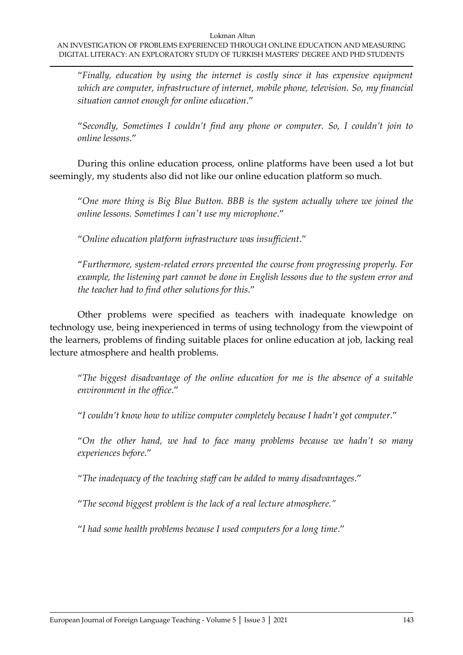"*Finally, education by using the internet is costly since it has expensive equipment which are computer, infrastructure of internet, mobile phone, television. So, my financial situation cannot enough for online education*."

"*Secondly, Sometimes I couldn't find any phone or computer. So, I couldn't join to online lessons*."

During this online education process, online platforms have been used a lot but seemingly, my students also did not like our online education platform so much.

"*One more thing is Big Blue Button. BBB is the system actually where we joined the online lessons. Sometimes I can't use my microphone*."

"*Online education platform infrastructure was insufficient*."

"*Furthermore, system-related errors prevented the course from progressing properly. For example, the listening part cannot be done in English lessons due to the system error and the teacher had to find other solutions for this*."

Other problems were specified as teachers with inadequate knowledge on technology use, being inexperienced in terms of using technology from the viewpoint of the learners, problems of finding suitable places for online education at job, lacking real lecture atmosphere and health problems.

"*The biggest disadvantage of the online education for me is the absence of a suitable environment in the office*."

"*I couldn't know how to utilize computer completely because I hadn't got computer*."

"*On the other hand, we had to face many problems because we hadn't so many experiences before*."

"*The inadequacy of the teaching staff can be added to many disadvantages*."

"*The second biggest problem is the lack of a real lecture atmosphere."*

"*I had some health problems because I used computers for a long time*."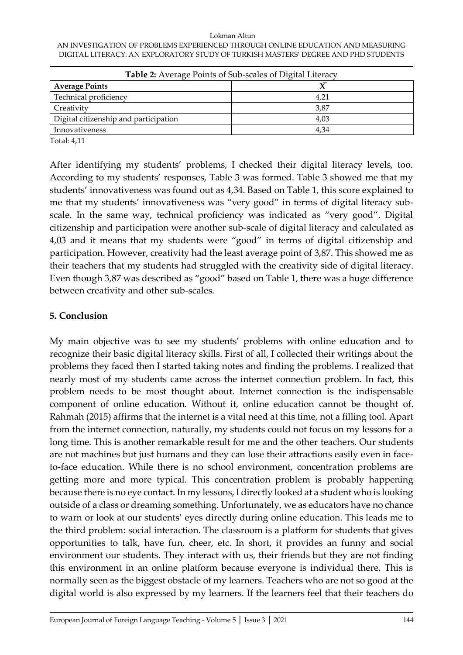#### Lokman Altun AN INVESTIGATION OF PROBLEMS EXPERIENCED THROUGH ONLINE EDUCATION AND MEASURING DIGITAL LITERACY: AN EXPLORATORY STUDY OF TURKISH MASTERS' DEGREE AND PHD STUDENTS

| Table 2: Average Points of Sub-scales of Digital Literacy |      |
|-----------------------------------------------------------|------|
| <b>Average Points</b>                                     |      |
| Technical proficiency                                     | 4,21 |
| Creativity                                                | 3,87 |
| Digital citizenship and participation                     | 4.03 |
| Innovativeness                                            | 4.34 |
| <b>THAT</b> $\sim$ 1 4 4 4 4                              |      |

Total: 4,11

After identifying my students' problems, I checked their digital literacy levels, too. According to my students' responses, Table 3 was formed. Table 3 showed me that my students' innovativeness was found out as 4,34. Based on Table 1, this score explained to me that my students' innovativeness was "very good" in terms of digital literacy subscale. In the same way, technical proficiency was indicated as "very good". Digital citizenship and participation were another sub-scale of digital literacy and calculated as 4,03 and it means that my students were "good" in terms of digital citizenship and participation. However, creativity had the least average point of 3,87. This showed me as their teachers that my students had struggled with the creativity side of digital literacy. Even though 3,87 was described as "good" based on Table 1, there was a huge difference between creativity and other sub-scales.

## **5. Conclusion**

My main objective was to see my students' problems with online education and to recognize their basic digital literacy skills. First of all, I collected their writings about the problems they faced then I started taking notes and finding the problems. I realized that nearly most of my students came across the internet connection problem. In fact, this problem needs to be most thought about. Internet connection is the indispensable component of online education. Without it, online education cannot be thought of. Rahmah (2015) affirms that the internet is a vital need at this time, not a filling tool. Apart from the internet connection, naturally, my students could not focus on my lessons for a long time. This is another remarkable result for me and the other teachers. Our students are not machines but just humans and they can lose their attractions easily even in faceto-face education. While there is no school environment, concentration problems are getting more and more typical. This concentration problem is probably happening because there is no eye contact. In my lessons, I directly looked at a student who is looking outside of a class or dreaming something. Unfortunately, we as educators have no chance to warn or look at our students' eyes directly during online education. This leads me to the third problem: social interaction. The classroom is a platform for students that gives opportunities to talk, have fun, cheer, etc. In short, it provides an funny and social environment our students. They interact with us, their friends but they are not finding this environment in an online platform because everyone is individual there. This is normally seen as the biggest obstacle of my learners. Teachers who are not so good at the digital world is also expressed by my learners. If the learners feel that their teachers do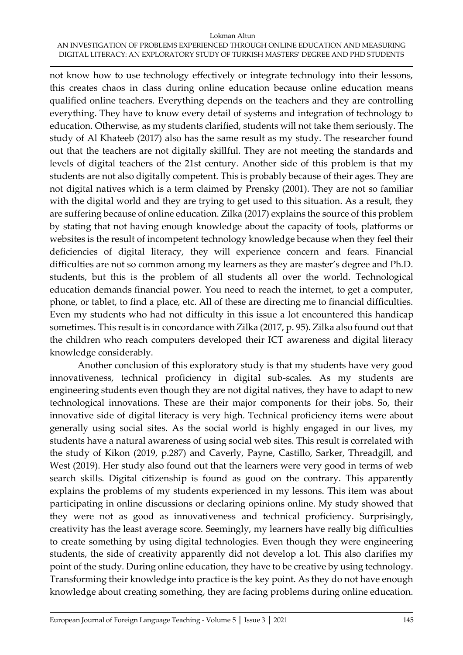#### Lokman Altun AN INVESTIGATION OF PROBLEMS EXPERIENCED THROUGH ONLINE EDUCATION AND MEASURING DIGITAL LITERACY: AN EXPLORATORY STUDY OF TURKISH MASTERS' DEGREE AND PHD STUDENTS

not know how to use technology effectively or integrate technology into their lessons, this creates chaos in class during online education because online education means qualified online teachers. Everything depends on the teachers and they are controlling everything. They have to know every detail of systems and integration of technology to education. Otherwise, as my students clarified, students will not take them seriously. The study of Al Khateeb (2017) also has the same result as my study. The researcher found out that the teachers are not digitally skillful. They are not meeting the standards and levels of digital teachers of the 21st century. Another side of this problem is that my students are not also digitally competent. This is probably because of their ages. They are not digital natives which is a term claimed by Prensky (2001). They are not so familiar with the digital world and they are trying to get used to this situation. As a result, they are suffering because of online education. Zilka (2017) explains the source of this problem by stating that not having enough knowledge about the capacity of tools, platforms or websites is the result of incompetent technology knowledge because when they feel their deficiencies of digital literacy, they will experience concern and fears. Financial difficulties are not so common among my learners as they are master's degree and Ph.D. students, but this is the problem of all students all over the world. Technological education demands financial power. You need to reach the internet, to get a computer, phone, or tablet, to find a place, etc. All of these are directing me to financial difficulties. Even my students who had not difficulty in this issue a lot encountered this handicap sometimes. This result is in concordance with Zilka (2017, p. 95). Zilka also found out that the children who reach computers developed their ICT awareness and digital literacy knowledge considerably.

Another conclusion of this exploratory study is that my students have very good innovativeness, technical proficiency in digital sub-scales. As my students are engineering students even though they are not digital natives, they have to adapt to new technological innovations. These are their major components for their jobs. So, their innovative side of digital literacy is very high. Technical proficiency items were about generally using social sites. As the social world is highly engaged in our lives, my students have a natural awareness of using social web sites. This result is correlated with the study of Kikon (2019, p.287) and Caverly, Payne, Castillo, Sarker, Threadgill, and West (2019). Her study also found out that the learners were very good in terms of web search skills. Digital citizenship is found as good on the contrary. This apparently explains the problems of my students experienced in my lessons. This item was about participating in online discussions or declaring opinions online. My study showed that they were not as good as innovativeness and technical proficiency. Surprisingly, creativity has the least average score. Seemingly, my learners have really big difficulties to create something by using digital technologies. Even though they were engineering students, the side of creativity apparently did not develop a lot. This also clarifies my point of the study. During online education, they have to be creative by using technology. Transforming their knowledge into practice is the key point. As they do not have enough knowledge about creating something, they are facing problems during online education.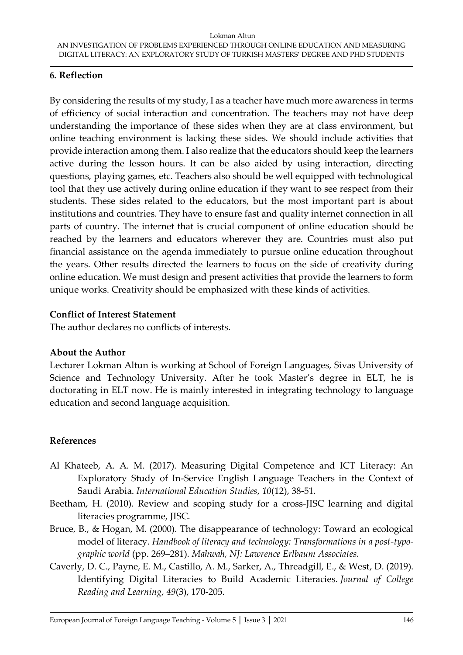## **6. Reflection**

By considering the results of my study, I as a teacher have much more awareness in terms of efficiency of social interaction and concentration. The teachers may not have deep understanding the importance of these sides when they are at class environment, but online teaching environment is lacking these sides. We should include activities that provide interaction among them. I also realize that the educators should keep the learners active during the lesson hours. It can be also aided by using interaction, directing questions, playing games, etc. Teachers also should be well equipped with technological tool that they use actively during online education if they want to see respect from their students. These sides related to the educators, but the most important part is about institutions and countries. They have to ensure fast and quality internet connection in all parts of country. The internet that is crucial component of online education should be reached by the learners and educators wherever they are. Countries must also put financial assistance on the agenda immediately to pursue online education throughout the years. Other results directed the learners to focus on the side of creativity during online education. We must design and present activities that provide the learners to form unique works. Creativity should be emphasized with these kinds of activities.

### **Conflict of Interest Statement**

The author declares no conflicts of interests.

### **About the Author**

Lecturer Lokman Altun is working at School of Foreign Languages, Sivas University of Science and Technology University. After he took Master's degree in ELT, he is doctorating in ELT now. He is mainly interested in integrating technology to language education and second language acquisition.

### **References**

- Al Khateeb, A. A. M. (2017). Measuring Digital Competence and ICT Literacy: An Exploratory Study of In-Service English Language Teachers in the Context of Saudi Arabia. *International Education Studies*, *10*(12), 38-51.
- Beetham, H. (2010). Review and scoping study for a cross-JISC learning and digital literacies programme, JISC.
- Bruce, B., & Hogan, M. (2000). The disappearance of technology: Toward an ecological model of literacy. *Handbook of literacy and technology: Transformations in a post-typographic world* (pp. 269–281). *Mahwah, NJ: Lawrence Erlbaum Associates.*
- Caverly, D. C., Payne, E. M., Castillo, A. M., Sarker, A., Threadgill, E., & West, D. (2019). Identifying Digital Literacies to Build Academic Literacies. *Journal of College Reading and Learning*, *49*(3), 170-205.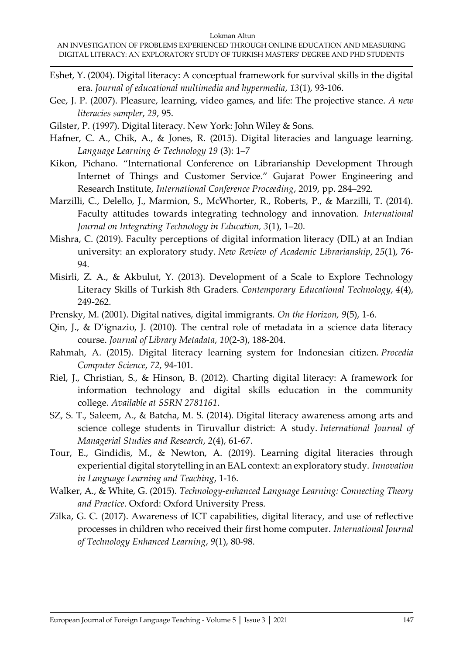- Eshet, Y. (2004). Digital literacy: A conceptual framework for survival skills in the digital era. *Journal of educational multimedia and hypermedia*, *13*(1), 93-106.
- Gee, J. P. (2007). Pleasure, learning, video games, and life: The projective stance. *A new literacies sampler*, *29*, 95.
- Gilster, P. (1997). Digital literacy. New York: John Wiley & Sons.
- Hafner, C. A., Chik, A., & Jones, R. (2015). Digital literacies and language learning. *Language Learning & Technology 19* (3): 1–7
- Kikon, Pichano. "International Conference on Librarianship Development Through Internet of Things and Customer Service." Gujarat Power Engineering and Research Institute, *International Conference Proceeding*, 2019, pp. 284–292.
- Marzilli, C., Delello, J., Marmion, S., McWhorter, R., Roberts, P., & Marzilli, T. (2014). Faculty attitudes towards integrating technology and innovation*. International Journal on Integrating Technology in Education, 3*(1), 1–20.
- Mishra, C. (2019). Faculty perceptions of digital information literacy (DIL) at an Indian university: an exploratory study. *New Review of Academic Librarianship*, *25*(1), 76- 94.
- Misirli, Z. A., & Akbulut, Y. (2013). Development of a Scale to Explore Technology Literacy Skills of Turkish 8th Graders. *Contemporary Educational Technology*, *4*(4), 249-262.
- Prensky, M. (2001). Digital natives, digital immigrants. *On the Horizon, 9*(5), 1-6.
- Qin, J., & D'ignazio, J. (2010). The central role of metadata in a science data literacy course. *Journal of Library Metadata*, *10*(2-3), 188-204.
- Rahmah, A. (2015). Digital literacy learning system for Indonesian citizen. *Procedia Computer Science*, *72*, 94-101.
- Riel, J., Christian, S., & Hinson, B. (2012). Charting digital literacy: A framework for information technology and digital skills education in the community college. *Available at SSRN 2781161*.
- SZ, S. T., Saleem, A., & Batcha, M. S. (2014). Digital literacy awareness among arts and science college students in Tiruvallur district: A study. *International Journal of Managerial Studies and Research*, *2*(4), 61-67.
- Tour, E., Gindidis, M., & Newton, A. (2019). Learning digital literacies through experiential digital storytelling in an EAL context: an exploratory study. *Innovation in Language Learning and Teaching*, 1-16.
- Walker, A., & White, G. (2015). *Technology-enhanced Language Learning: Connecting Theory and Practice*. Oxford: Oxford University Press.
- Zilka, G. C. (2017). Awareness of ICT capabilities, digital literacy, and use of reflective processes in children who received their first home computer. *International Journal of Technology Enhanced Learning*, *9*(1), 80-98.